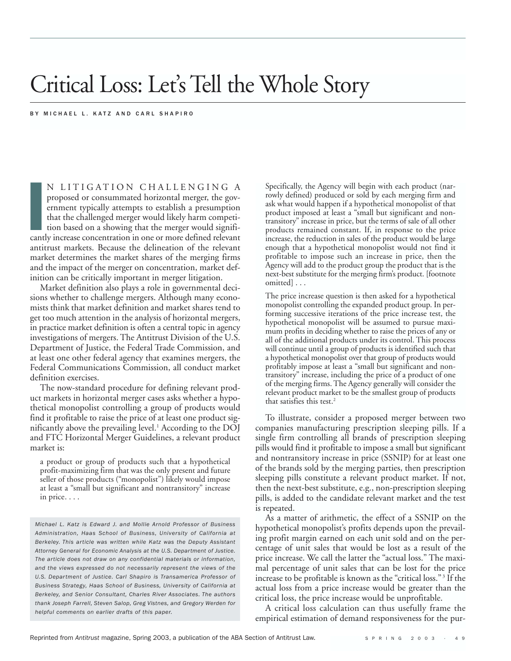# Critical Loss: Let's Tell the Whole Story

BY MICHAEL L. KATZ AND CARL SHAPIRO

**I**<br> **Cantl** N LITIGATION CHALLENGING A proposed or consummated horizontal merger, the government typically attempts to establish a presumption that the challenged merger would likely harm competition based on a showing that the merger would significantly increase concentration in one or more defined relevant antitrust markets. Because the delineation of the relevant market determines the market shares of the merging firms and the impact of the merger on concentration, market definition can be critically important in merger litigation.

Market definition also plays a role in governmental decisions whether to challenge mergers. Although many economists think that market definition and market shares tend to get too much attention in the analysis of horizontal mergers, in practice market definition is often a central topic in agency investigations of mergers. The Antitrust Division of the U.S. Department of Justice, the Federal Trade Commission, and at least one other federal agency that examines mergers, the Federal Communications Commission, all conduct market definition exercises.

The now-standard procedure for defining relevant product markets in horizontal merger cases asks whether a hypothetical monopolist controlling a group of products would find it profitable to raise the price of at least one product significantly above the prevailing level.<sup>1</sup> According to the DOJ and FTC Horizontal Merger Guidelines, a relevant product market is:

a product or group of products such that a hypothetical profit-maximizing firm that was the only present and future seller of those products ("monopolist") likely would impose at least a "small but significant and nontransitory" increase in price. . . .

*Michael L. Katz is Edward J. and Mollie Arnold Professor of Business Administration, Haas School of Business, University of California at Berkeley. This article was written while Katz was the Deputy Assistant Attorney General for Economic Analysis at the U.S. Department of Justice. The article does not draw on any confidential materials or information, and the views expressed do not necessarily represent the views of the U.S. Department of Justice. Carl Shapiro is Transamerica Professor of Business Strategy, Haas School of Business, University of California at Berkeley, and Senior Consultant, Charles River Associates. The authors thank Joseph Farrell, Steven Salop, Greg Vistnes, and Gregory Werden for helpful comments on earlier drafts of this paper.*

Specifically, the Agency will begin with each product (narrowly defined) produced or sold by each merging firm and ask what would happen if a hypothetical monopolist of that product imposed at least a "small but significant and nontransitory" increase in price, but the terms of sale of all other products remained constant. If, in response to the price increase, the reduction in sales of the product would be large enough that a hypothetical monopolist would not find it profitable to impose such an increase in price, then the Agency will add to the product group the product that is the next-best substitute for the merging firm's product. [footnote omitted] . . .

The price increase question is then asked for a hypothetical monopolist controlling the expanded product group. In performing successive iterations of the price increase test, the hypothetical monopolist will be assumed to pursue maximum profits in deciding whether to raise the prices of any or all of the additional products under its control. This process will continue until a group of products is identified such that a hypothetical monopolist over that group of products would profitably impose at least a "small but significant and nontransitory" increase, including the price of a product of one of the merging firms. The Agency generally will consider the relevant product market to be the smallest group of products that satisfies this test.2

To illustrate, consider a proposed merger between two companies manufacturing prescription sleeping pills. If a single firm controlling all brands of prescription sleeping pills would find it profitable to impose a small but significant and nontransitory increase in price (SSNIP) for at least one of the brands sold by the merging parties, then prescription sleeping pills constitute a relevant product market. If not, then the next-best substitute, e.g., non-prescription sleeping pills, is added to the candidate relevant market and the test is repeated.

As a matter of arithmetic, the effect of a SSNIP on the hypothetical monopolist's profits depends upon the prevailing profit margin earned on each unit sold and on the percentage of unit sales that would be lost as a result of the price increase. We call the latter the "actual loss." The maximal percentage of unit sales that can be lost for the price increase to be profitable is known as the "critical loss." <sup>3</sup> If the actual loss from a price increase would be greater than the critical loss, the price increase would be unprofitable.

A critical loss calculation can thus usefully frame the empirical estimation of demand responsiveness for the pur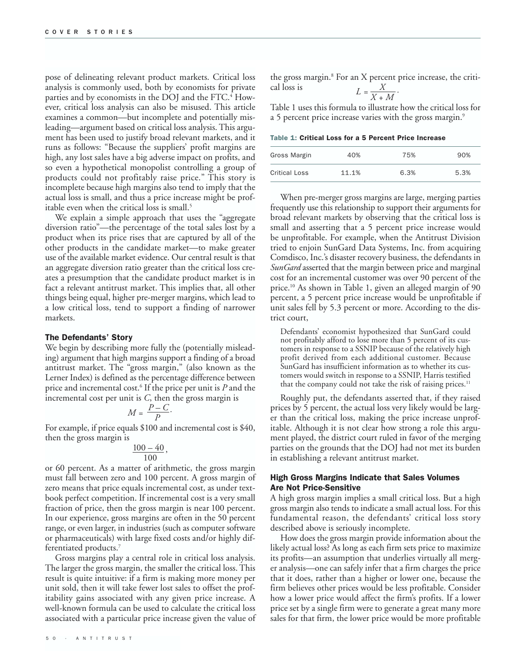pose of delineating relevant product markets. Critical loss analysis is commonly used, both by economists for private parties and by economists in the DOJ and the FTC.<sup>4</sup> However, critical loss analysis can also be misused. This article examines a common—but incomplete and potentially misleading—argument based on critical loss analysis. This argument has been used to justify broad relevant markets, and it runs as follows: "Because the suppliers' profit margins are high, any lost sales have a big adverse impact on profits, and so even a hypothetical monopolist controlling a group of products could not profitably raise price." This story is incomplete because high margins also tend to imply that the actual loss is small, and thus a price increase might be profitable even when the critical loss is small.<sup>5</sup>

We explain a simple approach that uses the "aggregate diversion ratio"—the percentage of the total sales lost by a product when its price rises that are captured by all of the other products in the candidate market—to make greater use of the available market evidence. Our central result is that an aggregate diversion ratio greater than the critical loss creates a presumption that the candidate product market is in fact a relevant antitrust market. This implies that, all other things being equal, higher pre-merger margins, which lead to a low critical loss, tend to support a finding of narrower markets.

#### The Defendants' Story

We begin by describing more fully the (potentially misleading) argument that high margins support a finding of a broad antitrust market. The "gross margin," (also known as the Lerner Index) is defined as the percentage difference between price and incremental cost.6 If the price per unit is *P* and the incremental cost per unit is *C*, then the gross margin is

$$
M = \frac{P - C}{P}.
$$

For example, if price equals \$100 and incremental cost is \$40, then the gross margin is

$$
\frac{100 - 40}{100},
$$

or 60 percent. As a matter of arithmetic, the gross margin must fall between zero and 100 percent. A gross margin of zero means that price equals incremental cost, as under textbook perfect competition. If incremental cost is a very small fraction of price, then the gross margin is near 100 percent. In our experience, gross margins are often in the 50 percent range, or even larger, in industries (such as computer software or pharmaceuticals) with large fixed costs and/or highly differentiated products.7

Gross margins play a central role in critical loss analysis. The larger the gross margin, the smaller the critical loss. This result is quite intuitive: if a firm is making more money per unit sold, then it will take fewer lost sales to offset the profitability gains associated with any given price increase. A well-known formula can be used to calculate the critical loss associated with a particular price increase given the value of

50 · ANTITRUST

the gross margin.<sup>8</sup> For an X percent price increase, the critical loss is  $L = \frac{X}{X + M}$ .

Table 1 uses this formula to illustrate how the critical loss for a 5 percent price increase varies with the gross margin.<sup>9</sup>

|  |  |  |  |  |  |  | Table 1: Critical Loss for a 5 Percent Price Increase |
|--|--|--|--|--|--|--|-------------------------------------------------------|
|--|--|--|--|--|--|--|-------------------------------------------------------|

| Gross Margin         | 40%   | 75%  | 90%  |
|----------------------|-------|------|------|
| <b>Critical Loss</b> | 11.1% | 6.3% | 5.3% |

When pre-merger gross margins are large, merging parties frequently use this relationship to support their arguments for broad relevant markets by observing that the critical loss is small and asserting that a 5 percent price increase would be unprofitable. For example, when the Antitrust Division tried to enjoin SunGard Data Systems, Inc. from acquiring Comdisco, Inc.'s disaster recovery business, the defendants in *SunGard* asserted that the margin between price and marginal cost for an incremental customer was over 90 percent of the price.10 As shown in Table 1, given an alleged margin of 90 percent, a 5 percent price increase would be unprofitable if unit sales fell by 5.3 percent or more. According to the district court,

Defendants' economist hypothesized that SunGard could not profitably afford to lose more than 5 percent of its customers in response to a SSNIP because of the relatively high profit derived from each additional customer. Because SunGard has insufficient information as to whether its customers would switch in response to a SSNIP, Harris testified that the company could not take the risk of raising prices.<sup>11</sup>

Roughly put, the defendants asserted that, if they raised prices by 5 percent, the actual loss very likely would be larger than the critical loss, making the price increase unprofitable. Although it is not clear how strong a role this argument played, the district court ruled in favor of the merging parties on the grounds that the DOJ had not met its burden in establishing a relevant antitrust market.

#### High Gross Margins Indicate that Sales Volumes Are Not Price-Sensitive

A high gross margin implies a small critical loss. But a high gross margin also tends to indicate a small actual loss. For this fundamental reason, the defendants' critical loss story described above is seriously incomplete.

How does the gross margin provide information about the likely actual loss? As long as each firm sets price to maximize its profits—an assumption that underlies virtually all merger analysis—one can safely infer that a firm charges the price that it does, rather than a higher or lower one, because the firm believes other prices would be less profitable. Consider how a lower price would affect the firm's profits. If a lower price set by a single firm were to generate a great many more sales for that firm, the lower price would be more profitable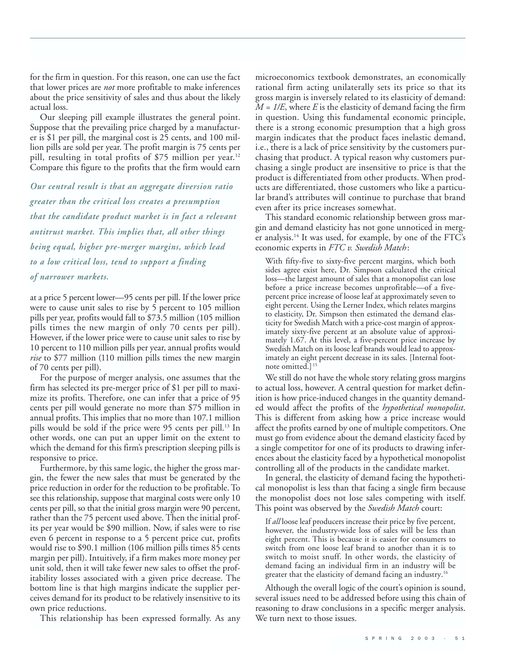for the firm in question. For this reason, one can use the fact that lower prices are *not* more profitable to make inferences about the price sensitivity of sales and thus about the likely actual loss.

Our sleeping pill example illustrates the general point. Suppose that the prevailing price charged by a manufacturer is \$1 per pill, the marginal cost is 25 cents, and 100 million pills are sold per year. The profit margin is 75 cents per pill, resulting in total profits of \$75 million per year.<sup>12</sup> Compare this figure to the profits that the firm would earn

*Our central result is that an aggregate diversion ratio greater than the critical loss creates a presumption that the candidate product market is in fact a relevant antitrust market. This implies that, all other things being equal, higher pre-merger margins, which lead to a low critical loss, tend to support a finding of narrower markets.*

at a price 5 percent lower—95 cents per pill. If the lower price were to cause unit sales to rise by 5 percent to 105 million pills per year, profits would fall to \$73.5 million (105 million pills times the new margin of only 70 cents per pill). However, if the lower price were to cause unit sales to rise by 10 percent to 110 million pills per year, annual profits would *rise* to \$77 million (110 million pills times the new margin of 70 cents per pill).

For the purpose of merger analysis, one assumes that the firm has selected its pre-merger price of \$1 per pill to maximize its profits. Therefore, one can infer that a price of 95 cents per pill would generate no more than \$75 million in annual profits. This implies that no more than 107.1 million pills would be sold if the price were 95 cents per pill.<sup>13</sup> In other words, one can put an upper limit on the extent to which the demand for this firm's prescription sleeping pills is responsive to price.

Furthermore, by this same logic, the higher the gross margin, the fewer the new sales that must be generated by the price reduction in order for the reduction to be profitable. To see this relationship, suppose that marginal costs were only 10 cents per pill, so that the initial gross margin were 90 percent, rather than the 75 percent used above. Then the initial profits per year would be \$90 million. Now, if sales were to rise even 6 percent in response to a 5 percent price cut, profits would rise to \$90.1 million (106 million pills times 85 cents margin per pill). Intuitively, if a firm makes more money per unit sold, then it will take fewer new sales to offset the profitability losses associated with a given price decrease. The bottom line is that high margins indicate the supplier perceives demand for its product to be relatively insensitive to its own price reductions.

This relationship has been expressed formally. As any

microeconomics textbook demonstrates, an economically rational firm acting unilaterally sets its price so that its gross margin is inversely related to its elasticity of demand: *M = 1/E*, where *E* is the elasticity of demand facing the firm in question. Using this fundamental economic principle, there is a strong economic presumption that a high gross margin indicates that the product faces inelastic demand, i.e., there is a lack of price sensitivity by the customers purchasing that product. A typical reason why customers purchasing a single product are insensitive to price is that the product is differentiated from other products. When products are differentiated, those customers who like a particular brand's attributes will continue to purchase that brand even after its price increases somewhat.

This standard economic relationship between gross margin and demand elasticity has not gone unnoticed in merger analysis.<sup>14</sup> It was used, for example, by one of the FTC's economic experts in *FTC v. Swedish Match*:

With fifty-five to sixty-five percent margins, which both sides agree exist here, Dr. Simpson calculated the critical loss—the largest amount of sales that a monopolist can lose before a price increase becomes unprofitable—of a fivepercent price increase of loose leaf at approximately seven to eight percent. Using the Lerner Index, which relates margins to elasticity, Dr. Simpson then estimated the demand elasticity for Swedish Match with a price-cost margin of approximately sixty-five percent at an absolute value of approximately 1.67. At this level, a five-percent price increase by Swedish Match on its loose leaf brands would lead to approximately an eight percent decrease in its sales. [Internal footnote omitted.]<sup>1</sup>

We still do not have the whole story relating gross margins to actual loss, however. A central question for market definition is how price-induced changes in the quantity demanded would affect the profits of the *hypothetical monopolist*. This is different from asking how a price increase would affect the profits earned by one of multiple competitors. One must go from evidence about the demand elasticity faced by a single competitor for one of its products to drawing inferences about the elasticity faced by a hypothetical monopolist controlling all of the products in the candidate market.

In general, the elasticity of demand facing the hypothetical monopolist is less than that facing a single firm because the monopolist does not lose sales competing with itself. This point was observed by the *Swedish Match* court:

If *all* loose leaf producers increase their price by five percent, however, the industry-wide loss of sales will be less than eight percent. This is because it is easier for consumers to switch from one loose leaf brand to another than it is to switch to moist snuff. In other words, the elasticity of demand facing an individual firm in an industry will be greater that the elasticity of demand facing an industry.16

Although the overall logic of the court's opinion is sound, several issues need to be addressed before using this chain of reasoning to draw conclusions in a specific merger analysis. We turn next to those issues.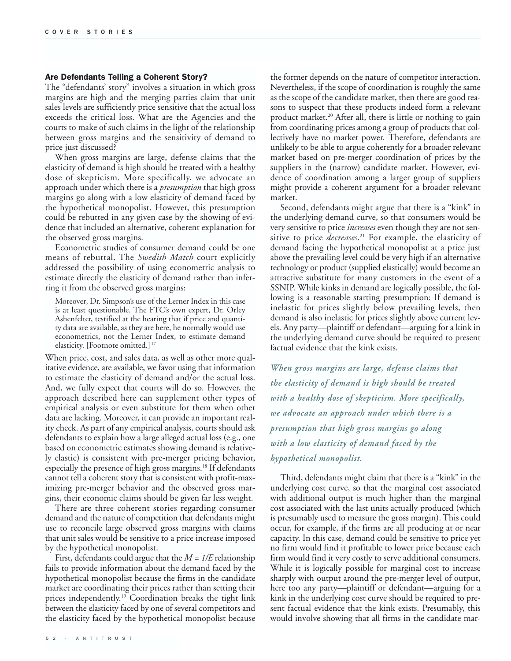#### Are Defendants Telling a Coherent Story?

The "defendants' story" involves a situation in which gross margins are high and the merging parties claim that unit sales levels are sufficiently price sensitive that the actual loss exceeds the critical loss. What are the Agencies and the courts to make of such claims in the light of the relationship between gross margins and the sensitivity of demand to price just discussed?

When gross margins are large, defense claims that the elasticity of demand is high should be treated with a healthy dose of skepticism. More specifically, we advocate an approach under which there is a *presumption* that high gross margins go along with a low elasticity of demand faced by the hypothetical monopolist. However, this presumption could be rebutted in any given case by the showing of evidence that included an alternative, coherent explanation for the observed gross margins.

Econometric studies of consumer demand could be one means of rebuttal. The *Swedish Match* court explicitly addressed the possibility of using econometric analysis to estimate directly the elasticity of demand rather than inferring it from the observed gross margins:

Moreover, Dr. Simpson's use of the Lerner Index in this case is at least questionable. The FTC's own expert, Dr. Orley Ashenfelter, testified at the hearing that if price and quantity data are available, as they are here, he normally would use econometrics, not the Lerner Index, to estimate demand elasticity. [Footnote omitted.] <sup>17</sup>

When price, cost, and sales data, as well as other more qualitative evidence, are available, we favor using that information to estimate the elasticity of demand and/or the actual loss. And, we fully expect that courts will do so. However, the approach described here can supplement other types of empirical analysis or even substitute for them when other data are lacking. Moreover, it can provide an important reality check. As part of any empirical analysis, courts should ask defendants to explain how a large alleged actual loss (e.g., one based on econometric estimates showing demand is relatively elastic) is consistent with pre-merger pricing behavior, especially the presence of high gross margins.<sup>18</sup> If defendants cannot tell a coherent story that is consistent with profit-maximizing pre-merger behavior and the observed gross margins, their economic claims should be given far less weight.

There are three coherent stories regarding consumer demand and the nature of competition that defendants might use to reconcile large observed gross margins with claims that unit sales would be sensitive to a price increase imposed by the hypothetical monopolist.

First, defendants could argue that the *M = 1/E* relationship fails to provide information about the demand faced by the hypothetical monopolist because the firms in the candidate market are coordinating their prices rather than setting their prices independently.19 Coordination breaks the tight link between the elasticity faced by one of several competitors and the elasticity faced by the hypothetical monopolist because

the former depends on the nature of competitor interaction. Nevertheless, if the scope of coordination is roughly the same as the scope of the candidate market, then there are good reasons to suspect that these products indeed form a relevant product market.<sup>20</sup> After all, there is little or nothing to gain from coordinating prices among a group of products that collectively have no market power. Therefore, defendants are unlikely to be able to argue coherently for a broader relevant market based on pre-merger coordination of prices by the suppliers in the (narrow) candidate market. However, evidence of coordination among a larger group of suppliers might provide a coherent argument for a broader relevant market.

Second, defendants might argue that there is a "kink" in the underlying demand curve, so that consumers would be very sensitive to price *increases* even though they are not sensitive to price *decreases*. <sup>21</sup> For example, the elasticity of demand facing the hypothetical monopolist at a price just above the prevailing level could be very high if an alternative technology or product (supplied elastically) would become an attractive substitute for many customers in the event of a SSNIP. While kinks in demand are logically possible, the following is a reasonable starting presumption: If demand is inelastic for prices slightly below prevailing levels, then demand is also inelastic for prices slightly above current levels. Any party—plaintiff or defendant—arguing for a kink in the underlying demand curve should be required to present factual evidence that the kink exists.

*When gross margins are large, defense claims that the elasticity of demand is high should be treated with a healthy dose of skepticism. More specifically, we advocate an approach under which there is a presumption that high gross margins go along with a low elasticity of demand faced by the hypothetical monopolist.*

Third, defendants might claim that there is a "kink" in the underlying cost curve, so that the marginal cost associated with additional output is much higher than the marginal cost associated with the last units actually produced (which is presumably used to measure the gross margin). This could occur, for example, if the firms are all producing at or near capacity. In this case, demand could be sensitive to price yet no firm would find it profitable to lower price because each firm would find it very costly to serve additional consumers. While it is logically possible for marginal cost to increase sharply with output around the pre-merger level of output, here too any party—plaintiff or defendant—arguing for a kink in the underlying cost curve should be required to present factual evidence that the kink exists. Presumably, this would involve showing that all firms in the candidate mar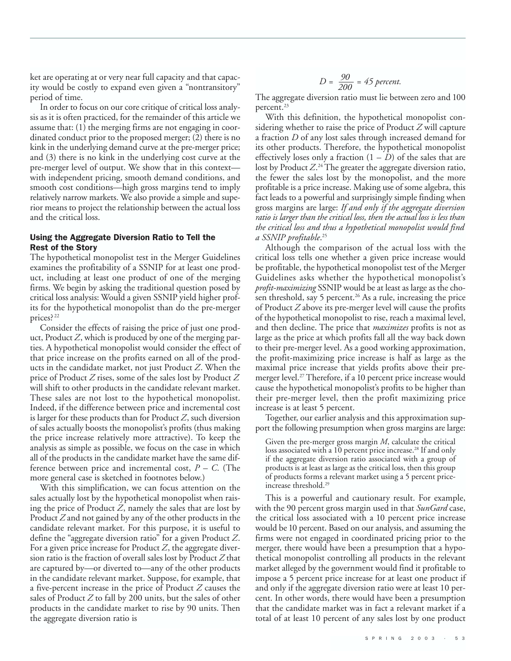ket are operating at or very near full capacity and that capacity would be costly to expand even given a "nontransitory" period of time.

In order to focus on our core critique of critical loss analysis as it is often practiced, for the remainder of this article we assume that: (1) the merging firms are not engaging in coordinated conduct prior to the proposed merger; (2) there is no kink in the underlying demand curve at the pre-merger price; and (3) there is no kink in the underlying cost curve at the pre-merger level of output. We show that in this context with independent pricing, smooth demand conditions, and smooth cost conditions—high gross margins tend to imply relatively narrow markets. We also provide a simple and superior means to project the relationship between the actual loss and the critical loss.

#### Using the Aggregate Diversion Ratio to Tell the Rest of the Story

The hypothetical monopolist test in the Merger Guidelines examines the profitability of a SSNIP for at least one product, including at least one product of one of the merging firms. We begin by asking the traditional question posed by critical loss analysis: Would a given SSNIP yield higher profits for the hypothetical monopolist than do the pre-merger prices?<sup>22</sup>

Consider the effects of raising the price of just one product, Product *Z*, which is produced by one of the merging parties. A hypothetical monopolist would consider the effect of that price increase on the profits earned on all of the products in the candidate market, not just Product *Z*. When the price of Product *Z* rises, some of the sales lost by Product *Z* will shift to other products in the candidate relevant market. These sales are not lost to the hypothetical monopolist. Indeed, if the difference between price and incremental cost is larger for these products than for Product *Z*, such diversion of sales actually boosts the monopolist's profits (thus making the price increase relatively more attractive). To keep the analysis as simple as possible, we focus on the case in which all of the products in the candidate market have the same difference between price and incremental cost, *P – C*. (The more general case is sketched in footnotes below.)

With this simplification, we can focus attention on the sales actually lost by the hypothetical monopolist when raising the price of Product *Z*, namely the sales that are lost by Product *Z* and not gained by any of the other products in the candidate relevant market. For this purpose, it is useful to define the "aggregate diversion ratio" for a given Product *Z*. For a given price increase for Product *Z*, the aggregate diversion ratio is the fraction of overall sales lost by Product *Z* that are captured by—or diverted to—any of the other products in the candidate relevant market. Suppose, for example, that a five-percent increase in the price of Product *Z* causes the sales of Product *Z* to fall by 200 units, but the sales of other products in the candidate market to rise by 90 units. Then the aggregate diversion ratio is

$$
D = \frac{90}{200} = 45 \text{ percent.}
$$

The aggregate diversion ratio must lie between zero and 100 percent.<sup>23</sup>

With this definition, the hypothetical monopolist considering whether to raise the price of Product *Z* will capture a fraction *D* of any lost sales through increased demand for its other products. Therefore, the hypothetical monopolist effectively loses only a fraction  $(1 - D)$  of the sales that are lost by Product  $Z^{.24}$  The greater the aggregate diversion ratio, the fewer the sales lost by the monopolist, and the more profitable is a price increase. Making use of some algebra, this fact leads to a powerful and surprisingly simple finding when gross margins are large: *If and only if the aggregate diversion ratio is larger than the critical loss, then the actual loss is less than the critical loss and thus a hypothetical monopolist would find a SSNIP profitable*. 25

Although the comparison of the actual loss with the critical loss tells one whether a given price increase would be profitable, the hypothetical monopolist test of the Merger Guidelines asks whether the hypothetical monopolist's *profit-maximizing* SSNIP would be at least as large as the chosen threshold, say 5 percent.<sup>26</sup> As a rule, increasing the price of Product *Z* above its pre-merger level will cause the profits of the hypothetical monopolist to rise, reach a maximal level, and then decline. The price that *maximizes* profits is not as large as the price at which profits fall all the way back down to their pre-merger level. As a good working approximation, the profit-maximizing price increase is half as large as the maximal price increase that yields profits above their premerger level.<sup>27</sup> Therefore, if a 10 percent price increase would cause the hypothetical monopolist's profits to be higher than their pre-merger level, then the profit maximizing price increase is at least 5 percent.

Together, our earlier analysis and this approximation support the following presumption when gross margins are large:

Given the pre-merger gross margin *M*, calculate the critical loss associated with a 10 percent price increase.<sup>28</sup> If and only if the aggregate diversion ratio associated with a group of products is at least as large as the critical loss, then this group of products forms a relevant market using a 5 percent priceincrease threshold.29

This is a powerful and cautionary result. For example, with the 90 percent gross margin used in that *SunGard* case, the critical loss associated with a 10 percent price increase would be 10 percent. Based on our analysis, and assuming the firms were not engaged in coordinated pricing prior to the merger, there would have been a presumption that a hypothetical monopolist controlling all products in the relevant market alleged by the government would find it profitable to impose a 5 percent price increase for at least one product if and only if the aggregate diversion ratio were at least 10 percent. In other words, there would have been a presumption that the candidate market was in fact a relevant market if a total of at least 10 percent of any sales lost by one product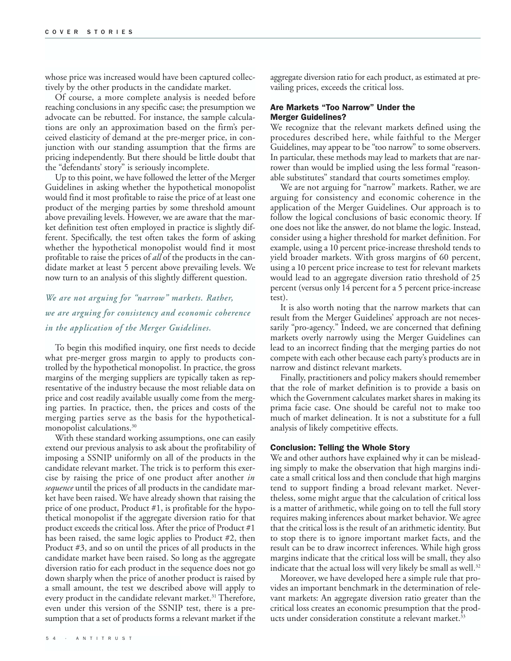whose price was increased would have been captured collectively by the other products in the candidate market.

Of course, a more complete analysis is needed before reaching conclusions in any specific case; the presumption we advocate can be rebutted. For instance, the sample calculations are only an approximation based on the firm's perceived elasticity of demand at the pre-merger price, in conjunction with our standing assumption that the firms are pricing independently. But there should be little doubt that the "defendants' story" is seriously incomplete.

Up to this point, we have followed the letter of the Merger Guidelines in asking whether the hypothetical monopolist would find it most profitable to raise the price of at least one product of the merging parties by some threshold amount above prevailing levels. However, we are aware that the market definition test often employed in practice is slightly different. Specifically, the test often takes the form of asking whether the hypothetical monopolist would find it most profitable to raise the prices of *all* of the products in the candidate market at least 5 percent above prevailing levels. We now turn to an analysis of this slightly different question.

### *We are not arguing for "narrow" markets. Rather, we are arguing for consistency and economic coherence in the application of the Merger Guidelines.*

To begin this modified inquiry, one first needs to decide what pre-merger gross margin to apply to products controlled by the hypothetical monopolist. In practice, the gross margins of the merging suppliers are typically taken as representative of the industry because the most reliable data on price and cost readily available usually come from the merging parties. In practice, then, the prices and costs of the merging parties serve as the basis for the hypotheticalmonopolist calculations.<sup>30</sup>

With these standard working assumptions, one can easily extend our previous analysis to ask about the profitability of imposing a SSNIP uniformly on all of the products in the candidate relevant market. The trick is to perform this exercise by raising the price of one product after another *in sequence* until the prices of all products in the candidate market have been raised. We have already shown that raising the price of one product, Product #1, is profitable for the hypothetical monopolist if the aggregate diversion ratio for that product exceeds the critical loss. After the price of Product #1 has been raised, the same logic applies to Product #2, then Product #3, and so on until the prices of all products in the candidate market have been raised. So long as the aggregate diversion ratio for each product in the sequence does not go down sharply when the price of another product is raised by a small amount, the test we described above will apply to every product in the candidate relevant market.<sup>31</sup> Therefore, even under this version of the SSNIP test, there is a presumption that a set of products forms a relevant market if the

aggregate diversion ratio for each product, as estimated at prevailing prices, exceeds the critical loss.

#### Are Markets "Too Narrow" Under the Merger Guidelines?

We recognize that the relevant markets defined using the procedures described here, while faithful to the Merger Guidelines, may appear to be "too narrow" to some observers. In particular, these methods may lead to markets that are narrower than would be implied using the less formal "reasonable substitutes" standard that courts sometimes employ.

We are not arguing for "narrow" markets. Rather, we are arguing for consistency and economic coherence in the application of the Merger Guidelines. Our approach is to follow the logical conclusions of basic economic theory. If one does not like the answer, do not blame the logic. Instead, consider using a higher threshold for market definition. For example, using a 10 percent price-increase threshold tends to yield broader markets. With gross margins of 60 percent, using a 10 percent price increase to test for relevant markets would lead to an aggregate diversion ratio threshold of 25 percent (versus only 14 percent for a 5 percent price-increase test).

It is also worth noting that the narrow markets that can result from the Merger Guidelines' approach are not necessarily "pro-agency." Indeed, we are concerned that defining markets overly narrowly using the Merger Guidelines can lead to an incorrect finding that the merging parties do not compete with each other because each party's products are in narrow and distinct relevant markets.

Finally, practitioners and policy makers should remember that the role of market definition is to provide a basis on which the Government calculates market shares in making its prima facie case. One should be careful not to make too much of market delineation. It is not a substitute for a full analysis of likely competitive effects.

#### Conclusion: Telling the Whole Story

We and other authors have explained why it can be misleading simply to make the observation that high margins indicate a small critical loss and then conclude that high margins tend to support finding a broad relevant market. Nevertheless, some might argue that the calculation of critical loss is a matter of arithmetic, while going on to tell the full story requires making inferences about market behavior. We agree that the critical loss is the result of an arithmetic identity. But to stop there is to ignore important market facts, and the result can be to draw incorrect inferences. While high gross margins indicate that the critical loss will be small, they also indicate that the actual loss will very likely be small as well. $32$ 

Moreover, we have developed here a simple rule that provides an important benchmark in the determination of relevant markets: An aggregate diversion ratio greater than the critical loss creates an economic presumption that the products under consideration constitute a relevant market.<sup>33</sup>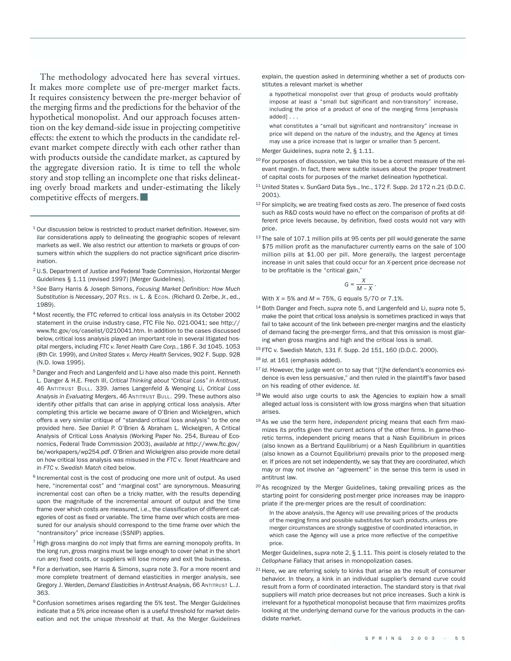The methodology advocated here has several virtues. It makes more complete use of pre-merger market facts. It requires consistency between the pre-merger behavior of the merging firms and the predictions for the behavior of the hypothetical monopolist. And our approach focuses attention on the key demand-side issue in projecting competitive effects: the extent to which the products in the candidate relevant market compete directly with each other rather than with products outside the candidate market, as captured by the aggregate diversion ratio. It is time to tell the whole story and stop telling an incomplete one that risks delineating overly broad markets and under-estimating the likely competitive effects of mergers.

- <sup>1</sup> Our discussion below is restricted to product market definition. However, similar considerations apply to delineating the geographic scopes of relevant markets as well. We also restrict our attention to markets or groups of consumers within which the suppliers do not practice significant price discrimination.
- <sup>2</sup> U.S. Department of Justice and Federal Trade Commission, Horizontal Merger Guidelines § 1.11 (revised 1997) [Merger Guidelines].
- <sup>3</sup> *See* Barry Harris & Joseph Simons, *Focusing Market Definition: How Much Substitution is Necessary*, 207 RES. IN L. & ECON. (Richard O. Zerbe, Jr., ed., 1989).
- <sup>4</sup> Most recently, the FTC referred to critical loss analysis in its October 2002 statement in the cruise industry case, FTC File No. 021-0041; see http:// www.ftc.gov/os/caselist/0210041.htm. In addition to the cases discussed below, critical loss analysis played an important role in several litigated hospital mergers, including *FTC v.Tenet Health Care Corp.*, 186 F. 3d 1045. 1053 (8th Cir. 1999), and *United States v. Mercy Health Services*, 902 F. Supp. 928 (N.D. Iowa 1995).
- <sup>5</sup> Danger and Frech and Langenfeld and Li have also made this point. Kenneth L. Danger & H.E. Frech III, *Critical Thinking about "Critical Loss" in Antitrust*, 46 ANTITRUST BULL. 339. James Langenfeld & Wenqing Li, *Critical Loss Analysis in Evaluating Mergers*, 46 ANTITRUST BULL. 299. These authors also identify other pitfalls that can arise in applying critical loss analysis. After completing this article we became aware of O'Brien and Wickelgren, which offers a very similar critique of "standard critical loss analysis" to the one provided here. *See* Daniel P. O'Brien & Abraham L. Wickelgren, A Critical Analysis of Critical Loss Analysis (Working Paper No. 254, Bureau of Economics, Federal Trade Commission 2003), *available at* http://www.ftc.gov/ be/workpapers/wp254.pdf. O'Brien and Wickelgren also provide more detail on how critical loss analysis was misused in the *FTC v. Tenet Healthcare* and in *FTC v. Swedish Match* cited below.
- <sup>6</sup> Incremental cost is the cost of producing one more unit of output. As used here, "incremental cost" and "marginal cost" are synonymous. Measuring incremental cost can often be a tricky matter, with the results depending upon the magnitude of the incremental amount of output and the time frame over which costs are measured, i.e., the classification of different categories of cost as fixed or variable. The time frame over which costs are measured for our analysis should correspond to the time frame over which the "nontransitory" price increase (SSNIP) applies.
- <sup>7</sup> High gross margins do *not* imply that firms are earning monopoly profits. In the long run, gross margins must be large enough to cover (what in the short run are) fixed costs, or suppliers will lose money and exit the business.
- <sup>8</sup> For a derivation, see Harris & Simons, *supra* note 3. For a more recent and more complete treatment of demand elasticities in merger analysis, see Gregory J. Werden, *Demand Elasticities in Antitrust Analysis*, 66 ANTITRUST L.J. 363.
- <sup>9</sup> Confusion sometimes arises regarding the 5% test. The Merger Guidelines indicate that a 5% price increase often is a useful threshold for market delineation and not the unique *threshold* at that. As the Merger Guidelines

explain, the question asked in determining whether a set of products constitutes a relevant market is whether

a hypothetical monopolist over that group of products would profitably impose *at least* a "small but significant and non-transitory" increase, including the price of a product of one of the merging firms [emphasis added] . . .

what constitutes a "small but significant and nontransitory" increase in price will depend on the nature of the industry, and the Agency at times may use a price increase that is larger or smaller than 5 percent.

Merger Guidelines, *supra* note 2, § 1.11.

- $10$  For purposes of discussion, we take this to be a correct measure of the relevant margin. In fact, there were subtle issues about the proper treatment of capital costs for purposes of the market delineation hypothetical.
- <sup>11</sup> United States v. SunGard Data Sys., Inc., 172 F. Supp. 2d 172 n.21 (D.D.C. 2001).
- <sup>12</sup> For simplicity, we are treating fixed costs as zero. The presence of fixed costs such as R&D costs would have no effect on the comparison of profits at different price levels because, by definition, fixed costs would not vary with price.
- <sup>13</sup> The sale of 107.1 million pills at 95 cents per pill would generate the same \$75 million profit as the manufacturer currently earns on the sale of 100 million pills at \$1.00 per pill. More generally, the largest percentage increase in unit sales that could occur for an *X*-percent price decrease *not* to be profitable is the "critical gain,"

$$
G=\frac{X}{M-X}.
$$

With *X* = 5% and *M* = 75%, *G* equals 5/70 or 7.1%.

- <sup>14</sup> Both Danger and Frech, *supra* note 5, and Langenfeld and Li, *supra* note 5, make the point that critical loss analysis is sometimes practiced in ways that fail to take account of the link between pre-merger margins and the elasticity of demand facing the pre-merger firms, and that this omission is most glaring when gross margins and high and the critical loss is small.
- <sup>15</sup> FTC v. Swedish Match, 131 F. Supp. 2d 151, 160 (D.D.C. 2000).
- <sup>16</sup> *Id.* at 161 (emphasis added).
- <sup>17</sup> *Id.* However, the judge went on to say that "[t]he defendant's economics evidence is even less persuasive," and then ruled in the plaintiff's favor based on his reading of other evidence. *Id.*
- 18 We would also urge courts to ask the Agencies to explain how a small alleged actual loss is consistent with low gross margins when that situation arises.
- <sup>19</sup> As we use the term here, *independent* pricing means that each firm maximizes its profits given the current actions of the other firms. In game-theoretic terms, independent pricing means that a Nash Equilibrium in prices (also known as a Bertrand Equilibrium) or a Nash Equilibrium in quantities (also known as a Cournot Equilibrium) prevails prior to the proposed merger. If prices are not set independently, we say that they are *coordinated*, which may or may not involve an "agreement" in the sense this term is used in antitrust law.
- <sup>20</sup> As recognized by the Merger Guidelines, taking prevailing prices as the starting point for considering post-merger price increases may be inappropriate if the pre-merger prices are the result of coordination:

In the above analysis, the Agency will use prevailing prices of the products of the merging firms and possible substitutes for such products, unless premerger circumstances are strongly suggestive of coordinated interaction, in which case the Agency will use a price more reflective of the competitive price.

Merger Guidelines, *supra* note 2, § 1.11. This point is closely related to the *Cellophane* Fallacy that arises in monopolization cases.

 $21$  Here, we are referring solely to kinks that arise as the result of consumer behavior. In theory, a kink in an individual supplier's demand curve could result from a form of coordinated interaction. The standard story is that rival suppliers will match price decreases but not price increases. Such a kink is irrelevant for a hypothetical monopolist because that firm maximizes profits looking at the underlying demand curve for the various products in the candidate market.